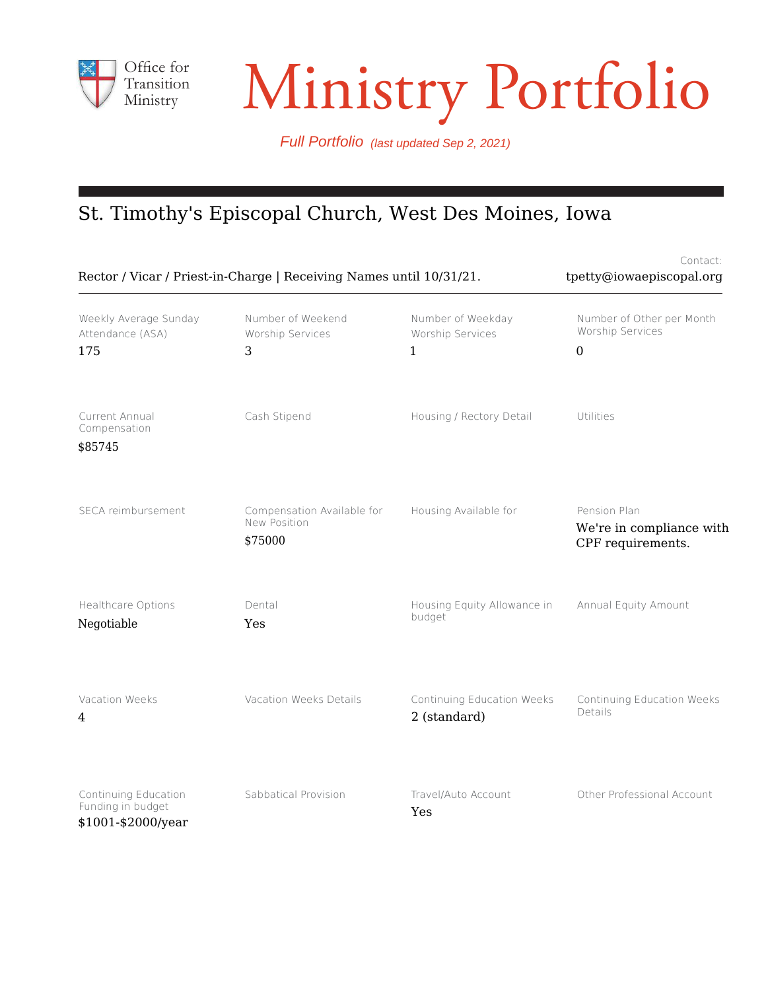

# Transition Ministry Portfolio

Full Portfolio (last updated Sep 2, 2021)

# St. Timothy's Episcopal Church, West Des Moines, Iowa

| Rector / Vicar / Priest-in-Charge   Receiving Names until 10/31/21. | Contact:<br>tpetty@iowaepiscopal.org                  |                                                       |                                                                   |
|---------------------------------------------------------------------|-------------------------------------------------------|-------------------------------------------------------|-------------------------------------------------------------------|
| Weekly Average Sunday<br>Attendance (ASA)<br>175                    | Number of Weekend<br>Worship Services<br>3            | Number of Weekday<br>Worship Services<br>$\mathbf{1}$ | Number of Other per Month<br>Worship Services<br>$\boldsymbol{0}$ |
| Current Annual<br>Compensation<br>\$85745                           | Cash Stipend                                          | Housing / Rectory Detail                              | Utilities                                                         |
| SECA reimbursement                                                  | Compensation Available for<br>New Position<br>\$75000 | Housing Available for                                 | Pension Plan<br>We're in compliance with<br>CPF requirements.     |
| Healthcare Options<br>Negotiable                                    | Dental<br>Yes                                         | Housing Equity Allowance in<br>budget                 | Annual Equity Amount                                              |
| Vacation Weeks<br>$\overline{4}$                                    | Vacation Weeks Details                                | Continuing Education Weeks<br>2 (standard)            | Continuing Education Weeks<br>Details                             |
| Continuing Education<br>Funding in budget<br>\$1001-\$2000/year     | Sabbatical Provision                                  | Travel/Auto Account<br>Yes                            | Other Professional Account                                        |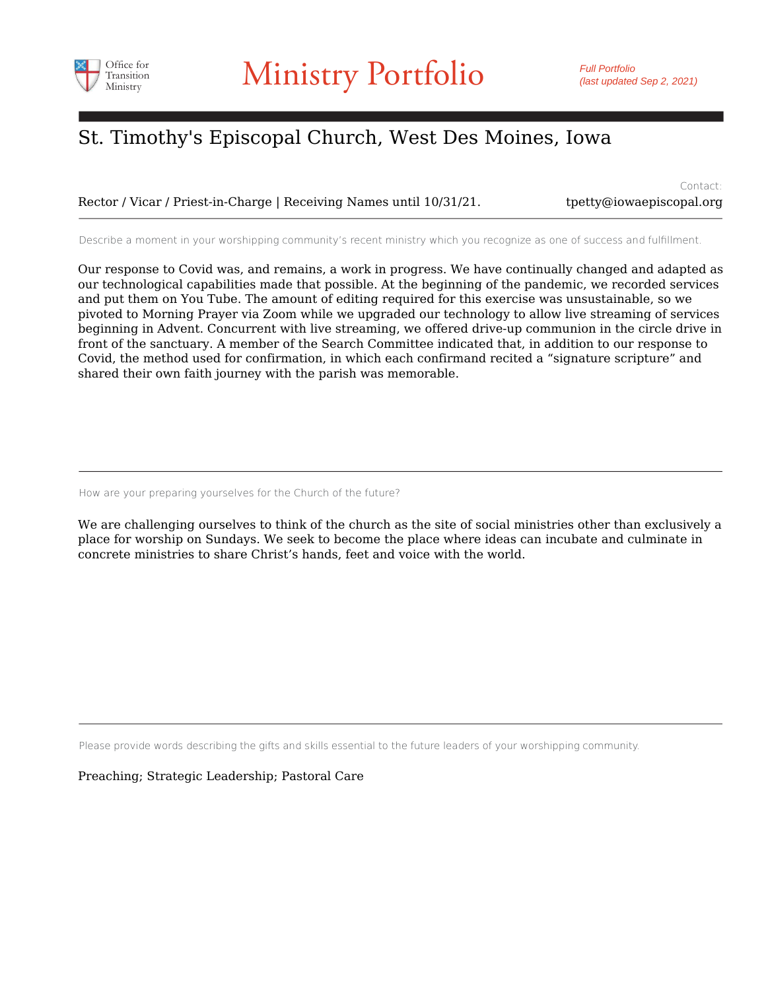

Rector / Vicar / Priest-in-Charge | Receiving Names until 10/31/21.

Contact: tpetty@iowaepiscopal.org

Describe a moment in your worshipping community's recent ministry which you recognize as one of success and fulfillment.

Our response to Covid was, and remains, a work in progress. We have continually changed and adapted as our technological capabilities made that possible. At the beginning of the pandemic, we recorded services and put them on You Tube. The amount of editing required for this exercise was unsustainable, so we pivoted to Morning Prayer via Zoom while we upgraded our technology to allow live streaming of services beginning in Advent. Concurrent with live streaming, we offered drive-up communion in the circle drive in front of the sanctuary. A member of the Search Committee indicated that, in addition to our response to Covid, the method used for confirmation, in which each confirmand recited a "signature scripture" and shared their own faith journey with the parish was memorable.

How are your preparing yourselves for the Church of the future?

We are challenging ourselves to think of the church as the site of social ministries other than exclusively a place for worship on Sundays. We seek to become the place where ideas can incubate and culminate in concrete ministries to share Christ's hands, feet and voice with the world.

Please provide words describing the gifts and skills essential to the future leaders of your worshipping community.

Preaching; Strategic Leadership; Pastoral Care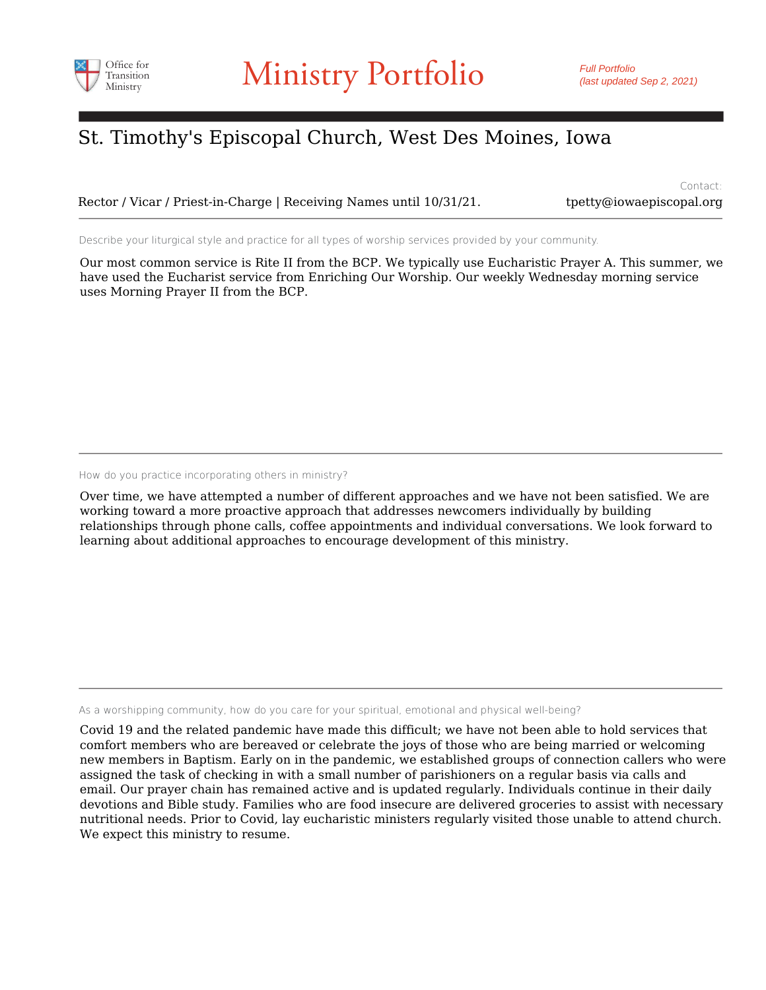

Rector / Vicar / Priest-in-Charge | Receiving Names until 10/31/21. the three type is copal.org

Contact:

Describe your liturgical style and practice for all types of worship services provided by your community.

Our most common service is Rite II from the BCP. We typically use Eucharistic Prayer A. This summer, we have used the Eucharist service from Enriching Our Worship. Our weekly Wednesday morning service uses Morning Prayer II from the BCP.

How do you practice incorporating others in ministry?

Over time, we have attempted a number of different approaches and we have not been satisfied. We are working toward a more proactive approach that addresses newcomers individually by building relationships through phone calls, coffee appointments and individual conversations. We look forward to learning about additional approaches to encourage development of this ministry.

As a worshipping community, how do you care for your spiritual, emotional and physical well-being?

Covid 19 and the related pandemic have made this difficult; we have not been able to hold services that comfort members who are bereaved or celebrate the joys of those who are being married or welcoming new members in Baptism. Early on in the pandemic, we established groups of connection callers who were assigned the task of checking in with a small number of parishioners on a regular basis via calls and email. Our prayer chain has remained active and is updated regularly. Individuals continue in their daily devotions and Bible study. Families who are food insecure are delivered groceries to assist with necessary nutritional needs. Prior to Covid, lay eucharistic ministers regularly visited those unable to attend church. We expect this ministry to resume.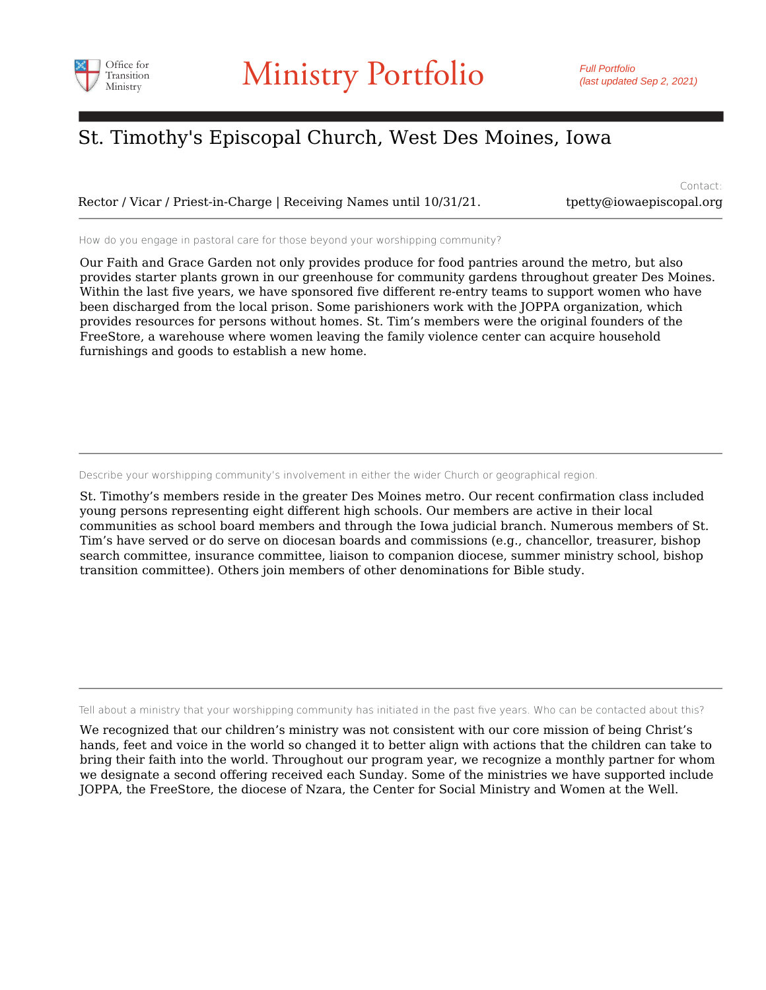

Rector / Vicar / Priest-in-Charge | Receiving Names until 10/31/21. the three type is copal.org

Contact:

How do you engage in pastoral care for those beyond your worshipping community?

Our Faith and Grace Garden not only provides produce for food pantries around the metro, but also provides starter plants grown in our greenhouse for community gardens throughout greater Des Moines. Within the last five years, we have sponsored five different re-entry teams to support women who have been discharged from the local prison. Some parishioners work with the JOPPA organization, which provides resources for persons without homes. St. Tim's members were the original founders of the FreeStore, a warehouse where women leaving the family violence center can acquire household furnishings and goods to establish a new home.

Describe your worshipping community's involvement in either the wider Church or geographical region.

St. Timothy's members reside in the greater Des Moines metro. Our recent confirmation class included young persons representing eight different high schools. Our members are active in their local communities as school board members and through the Iowa judicial branch. Numerous members of St. Tim's have served or do serve on diocesan boards and commissions (e.g., chancellor, treasurer, bishop search committee, insurance committee, liaison to companion diocese, summer ministry school, bishop transition committee). Others join members of other denominations for Bible study.

Tell about a ministry that your worshipping community has initiated in the past five years. Who can be contacted about this?

We recognized that our children's ministry was not consistent with our core mission of being Christ's hands, feet and voice in the world so changed it to better align with actions that the children can take to bring their faith into the world. Throughout our program year, we recognize a monthly partner for whom we designate a second offering received each Sunday. Some of the ministries we have supported include JOPPA, the FreeStore, the diocese of Nzara, the Center for Social Ministry and Women at the Well.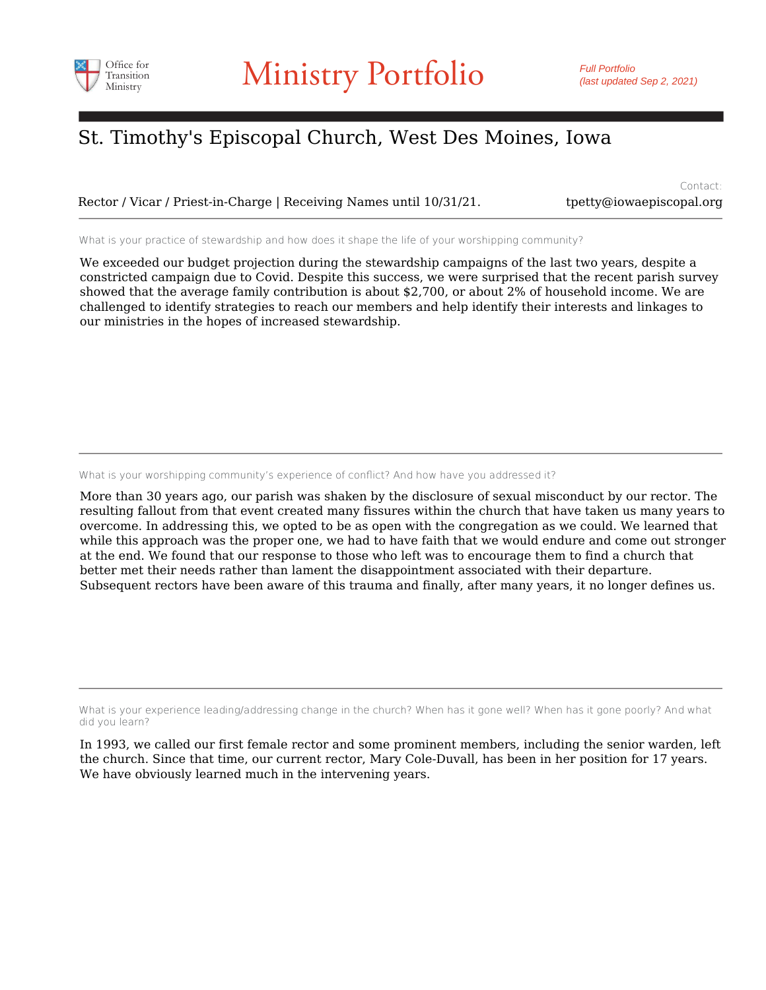

Rector / Vicar / Priest-in-Charge | Receiving Names until 10/31/21. the three type is copal.org

Contact:

What is your practice of stewardship and how does it shape the life of your worshipping community?

We exceeded our budget projection during the stewardship campaigns of the last two years, despite a constricted campaign due to Covid. Despite this success, we were surprised that the recent parish survey showed that the average family contribution is about \$2,700, or about 2% of household income. We are challenged to identify strategies to reach our members and help identify their interests and linkages to our ministries in the hopes of increased stewardship.

What is your worshipping community's experience of conflict? And how have you addressed it?

More than 30 years ago, our parish was shaken by the disclosure of sexual misconduct by our rector. The resulting fallout from that event created many fissures within the church that have taken us many years to overcome. In addressing this, we opted to be as open with the congregation as we could. We learned that while this approach was the proper one, we had to have faith that we would endure and come out stronger at the end. We found that our response to those who left was to encourage them to find a church that better met their needs rather than lament the disappointment associated with their departure. Subsequent rectors have been aware of this trauma and finally, after many years, it no longer defines us.

What is your experience leading/addressing change in the church? When has it gone well? When has it gone poorly? And what did you learn?

In 1993, we called our first female rector and some prominent members, including the senior warden, left the church. Since that time, our current rector, Mary Cole-Duvall, has been in her position for 17 years. We have obviously learned much in the intervening years.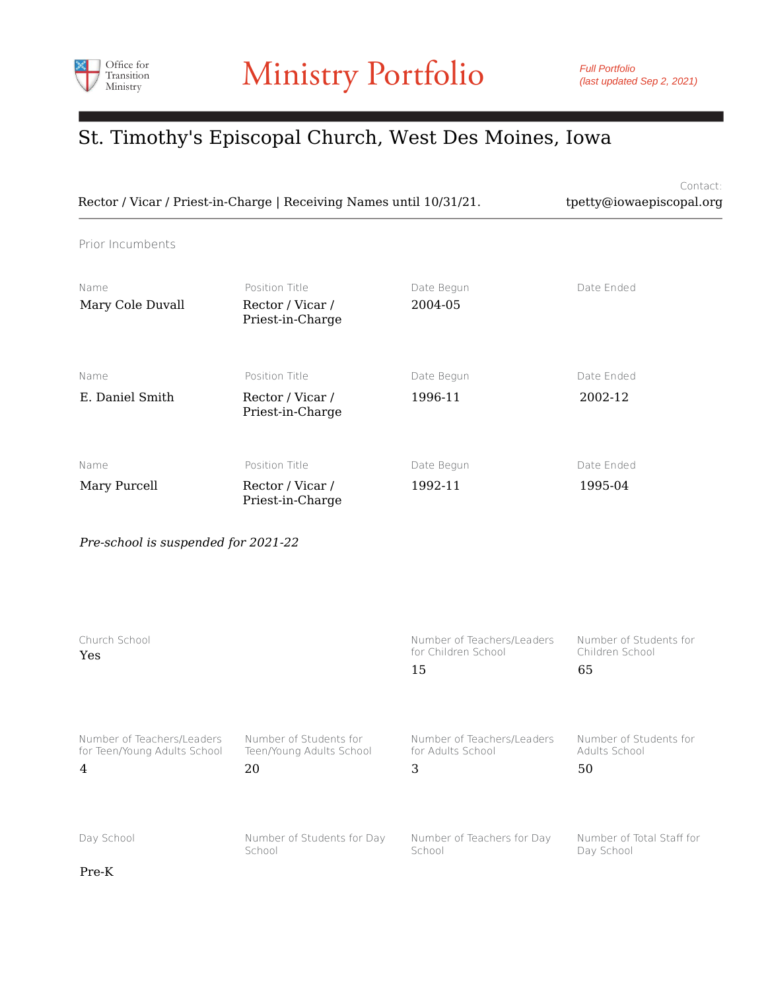

Contact: Rector / Vicar / Priest-in-Charge | Receiving Names until 10/31/21. tpetty@iowaepiscopal.org

Prior Incumbents

| Name<br>Mary Cole Duvall | Position Title<br>Rector / Vicar /<br>Priest-in-Charge | Date Begun<br>2004-05 | Date Ended            |
|--------------------------|--------------------------------------------------------|-----------------------|-----------------------|
| Name<br>E. Daniel Smith  | Position Title<br>Rector / Vicar /<br>Priest-in-Charge | Date Begun<br>1996-11 | Date Ended<br>2002-12 |
| Name<br>Mary Purcell     | Position Title<br>Rector / Vicar /<br>Priest-in-Charge | Date Begun<br>1992-11 | Date Ended<br>1995-04 |

*Pre-school is suspended for 2021-22*

| Church School<br>Yes         |                            | Number of Teachers/Leaders<br>for Children School<br>15 | Number of Students for<br>Children School<br>65 |
|------------------------------|----------------------------|---------------------------------------------------------|-------------------------------------------------|
| Number of Teachers/Leaders   | Number of Students for     | Number of Teachers/Leaders                              | Number of Students for                          |
| for Teen/Young Adults School | Teen/Young Adults School   | for Adults School                                       | Adults School                                   |
| $\overline{4}$               | 20                         | 3                                                       | 50                                              |
| Day School                   | Number of Students for Day | Number of Teachers for Day                              | Number of Total Staff for                       |
| Pre-K                        | School                     | School                                                  | Day School                                      |